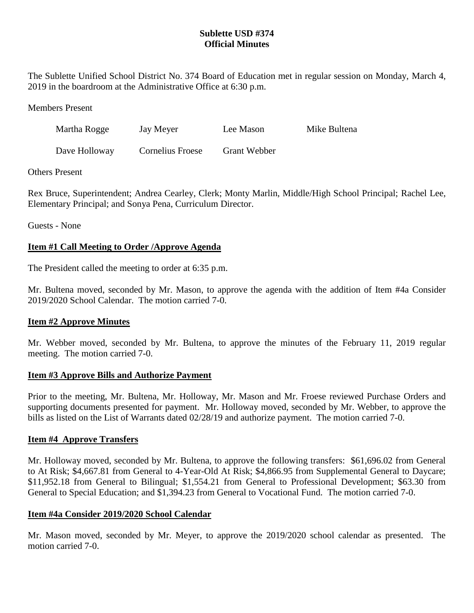## **Sublette USD #374 Official Minutes**

The Sublette Unified School District No. 374 Board of Education met in regular session on Monday, March 4, 2019 in the boardroom at the Administrative Office at 6:30 p.m.

Members Present

| Martha Rogge  | Jay Meyer        | Lee Mason           | Mike Bultena |
|---------------|------------------|---------------------|--------------|
| Dave Holloway | Cornelius Froese | <b>Grant Webber</b> |              |

## Others Present

Rex Bruce, Superintendent; Andrea Cearley, Clerk; Monty Marlin, Middle/High School Principal; Rachel Lee, Elementary Principal; and Sonya Pena, Curriculum Director.

Guests - None

## **Item #1 Call Meeting to Order /Approve Agenda**

The President called the meeting to order at 6:35 p.m.

Mr. Bultena moved, seconded by Mr. Mason, to approve the agenda with the addition of Item #4a Consider 2019/2020 School Calendar. The motion carried 7-0.

## **Item #2 Approve Minutes**

Mr. Webber moved, seconded by Mr. Bultena, to approve the minutes of the February 11, 2019 regular meeting. The motion carried 7-0.

## **Item #3 Approve Bills and Authorize Payment**

Prior to the meeting, Mr. Bultena, Mr. Holloway, Mr. Mason and Mr. Froese reviewed Purchase Orders and supporting documents presented for payment. Mr. Holloway moved, seconded by Mr. Webber, to approve the bills as listed on the List of Warrants dated 02/28/19 and authorize payment. The motion carried 7-0.

## **Item #4 Approve Transfers**

Mr. Holloway moved, seconded by Mr. Bultena, to approve the following transfers: \$61,696.02 from General to At Risk; \$4,667.81 from General to 4-Year-Old At Risk; \$4,866.95 from Supplemental General to Daycare; \$11,952.18 from General to Bilingual; \$1,554.21 from General to Professional Development; \$63.30 from General to Special Education; and \$1,394.23 from General to Vocational Fund. The motion carried 7-0.

## **Item #4a Consider 2019/2020 School Calendar**

Mr. Mason moved, seconded by Mr. Meyer, to approve the 2019/2020 school calendar as presented. The motion carried 7-0.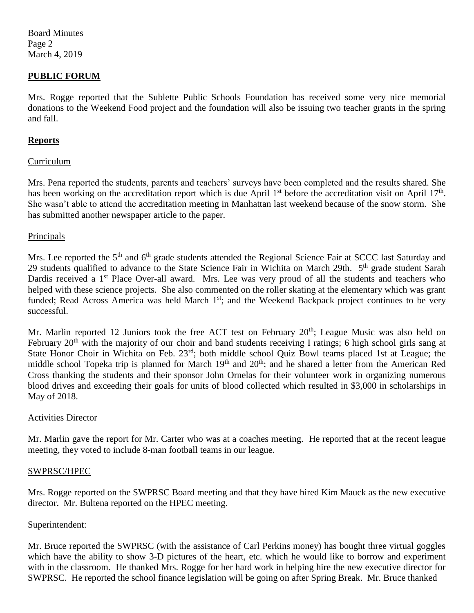Board Minutes Page 2 March 4, 2019

## **PUBLIC FORUM**

Mrs. Rogge reported that the Sublette Public Schools Foundation has received some very nice memorial donations to the Weekend Food project and the foundation will also be issuing two teacher grants in the spring and fall.

## **Reports**

#### Curriculum

Mrs. Pena reported the students, parents and teachers' surveys have been completed and the results shared. She has been working on the accreditation report which is due April 1<sup>st</sup> before the accreditation visit on April 17<sup>th</sup>. She wasn't able to attend the accreditation meeting in Manhattan last weekend because of the snow storm. She has submitted another newspaper article to the paper.

#### Principals

Mrs. Lee reported the 5<sup>th</sup> and 6<sup>th</sup> grade students attended the Regional Science Fair at SCCC last Saturday and 29 students qualified to advance to the State Science Fair in Wichita on March 29th. 5<sup>th</sup> grade student Sarah Dardis received a 1<sup>st</sup> Place Over-all award. Mrs. Lee was very proud of all the students and teachers who helped with these science projects. She also commented on the roller skating at the elementary which was grant funded; Read Across America was held March 1<sup>st</sup>; and the Weekend Backpack project continues to be very successful.

Mr. Marlin reported 12 Juniors took the free ACT test on February 20<sup>th</sup>; League Music was also held on February 20<sup>th</sup> with the majority of our choir and band students receiving I ratings; 6 high school girls sang at State Honor Choir in Wichita on Feb. 23<sup>rd</sup>; both middle school Quiz Bowl teams placed 1st at League; the middle school Topeka trip is planned for March 19<sup>th</sup> and 20<sup>th</sup>; and he shared a letter from the American Red Cross thanking the students and their sponsor John Ornelas for their volunteer work in organizing numerous blood drives and exceeding their goals for units of blood collected which resulted in \$3,000 in scholarships in May of 2018.

## Activities Director

Mr. Marlin gave the report for Mr. Carter who was at a coaches meeting. He reported that at the recent league meeting, they voted to include 8-man football teams in our league.

#### SWPRSC/HPEC

Mrs. Rogge reported on the SWPRSC Board meeting and that they have hired Kim Mauck as the new executive director. Mr. Bultena reported on the HPEC meeting.

#### Superintendent:

Mr. Bruce reported the SWPRSC (with the assistance of Carl Perkins money) has bought three virtual goggles which have the ability to show 3-D pictures of the heart, etc. which he would like to borrow and experiment with in the classroom. He thanked Mrs. Rogge for her hard work in helping hire the new executive director for SWPRSC. He reported the school finance legislation will be going on after Spring Break. Mr. Bruce thanked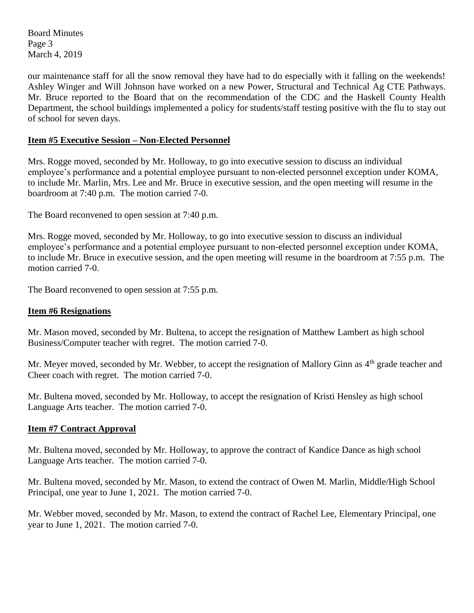Board Minutes Page 3 March 4, 2019

our maintenance staff for all the snow removal they have had to do especially with it falling on the weekends! Ashley Winger and Will Johnson have worked on a new Power, Structural and Technical Ag CTE Pathways. Mr. Bruce reported to the Board that on the recommendation of the CDC and the Haskell County Health Department, the school buildings implemented a policy for students/staff testing positive with the flu to stay out of school for seven days.

## **Item #5 Executive Session – Non-Elected Personnel**

Mrs. Rogge moved, seconded by Mr. Holloway, to go into executive session to discuss an individual employee's performance and a potential employee pursuant to non-elected personnel exception under KOMA, to include Mr. Marlin, Mrs. Lee and Mr. Bruce in executive session, and the open meeting will resume in the boardroom at 7:40 p.m. The motion carried 7-0.

The Board reconvened to open session at 7:40 p.m.

Mrs. Rogge moved, seconded by Mr. Holloway, to go into executive session to discuss an individual employee's performance and a potential employee pursuant to non-elected personnel exception under KOMA, to include Mr. Bruce in executive session, and the open meeting will resume in the boardroom at 7:55 p.m. The motion carried 7-0.

The Board reconvened to open session at 7:55 p.m.

## **Item #6 Resignations**

Mr. Mason moved, seconded by Mr. Bultena, to accept the resignation of Matthew Lambert as high school Business/Computer teacher with regret. The motion carried 7-0.

Mr. Meyer moved, seconded by Mr. Webber, to accept the resignation of Mallory Ginn as 4<sup>th</sup> grade teacher and Cheer coach with regret. The motion carried 7-0.

Mr. Bultena moved, seconded by Mr. Holloway, to accept the resignation of Kristi Hensley as high school Language Arts teacher. The motion carried 7-0.

## **Item #7 Contract Approval**

Mr. Bultena moved, seconded by Mr. Holloway, to approve the contract of Kandice Dance as high school Language Arts teacher. The motion carried 7-0.

Mr. Bultena moved, seconded by Mr. Mason, to extend the contract of Owen M. Marlin, Middle/High School Principal, one year to June 1, 2021. The motion carried 7-0.

Mr. Webber moved, seconded by Mr. Mason, to extend the contract of Rachel Lee, Elementary Principal, one year to June 1, 2021. The motion carried 7-0.